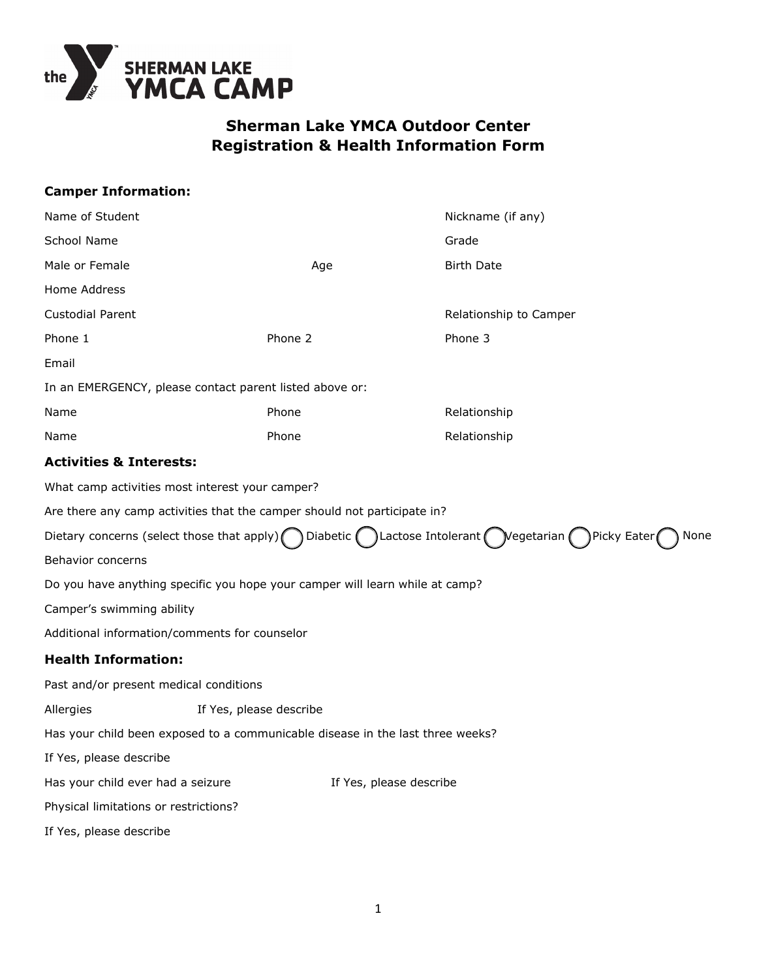

# **Sherman Lake YMCA Outdoor Center Registration & Health Information Form**

| <b>Camper Information:</b>                                                     |                         |                                                                              |                                                                                                                 |      |
|--------------------------------------------------------------------------------|-------------------------|------------------------------------------------------------------------------|-----------------------------------------------------------------------------------------------------------------|------|
| Name of Student                                                                |                         |                                                                              | Nickname (if any)                                                                                               |      |
| School Name                                                                    |                         |                                                                              | Grade                                                                                                           |      |
| Male or Female                                                                 |                         | Age                                                                          | <b>Birth Date</b>                                                                                               |      |
| Home Address                                                                   |                         |                                                                              |                                                                                                                 |      |
| <b>Custodial Parent</b>                                                        |                         |                                                                              | Relationship to Camper                                                                                          |      |
| Phone 1                                                                        |                         | Phone 2                                                                      | Phone 3                                                                                                         |      |
| Email                                                                          |                         |                                                                              |                                                                                                                 |      |
| In an EMERGENCY, please contact parent listed above or:                        |                         |                                                                              |                                                                                                                 |      |
| Name                                                                           |                         | Phone                                                                        | Relationship                                                                                                    |      |
| Name                                                                           |                         | Phone                                                                        | Relationship                                                                                                    |      |
| <b>Activities &amp; Interests:</b>                                             |                         |                                                                              |                                                                                                                 |      |
| What camp activities most interest your camper?                                |                         |                                                                              |                                                                                                                 |      |
| Are there any camp activities that the camper should not participate in?       |                         |                                                                              |                                                                                                                 |      |
|                                                                                |                         |                                                                              | Dietary concerns (select those that apply) ( ) Diabetic ( ) Lactose Intolerant ( ) Vegetarian ( ) Picky Eater ( | None |
| Behavior concerns                                                              |                         |                                                                              |                                                                                                                 |      |
|                                                                                |                         | Do you have anything specific you hope your camper will learn while at camp? |                                                                                                                 |      |
| Camper's swimming ability                                                      |                         |                                                                              |                                                                                                                 |      |
| Additional information/comments for counselor                                  |                         |                                                                              |                                                                                                                 |      |
| <b>Health Information:</b>                                                     |                         |                                                                              |                                                                                                                 |      |
| Past and/or present medical conditions                                         |                         |                                                                              |                                                                                                                 |      |
| Allergies                                                                      | If Yes, please describe |                                                                              |                                                                                                                 |      |
| Has your child been exposed to a communicable disease in the last three weeks? |                         |                                                                              |                                                                                                                 |      |
| If Yes, please describe                                                        |                         |                                                                              |                                                                                                                 |      |
| Has your child ever had a seizure                                              |                         |                                                                              | If Yes, please describe                                                                                         |      |
| Physical limitations or restrictions?                                          |                         |                                                                              |                                                                                                                 |      |
| If Yes, please describe                                                        |                         |                                                                              |                                                                                                                 |      |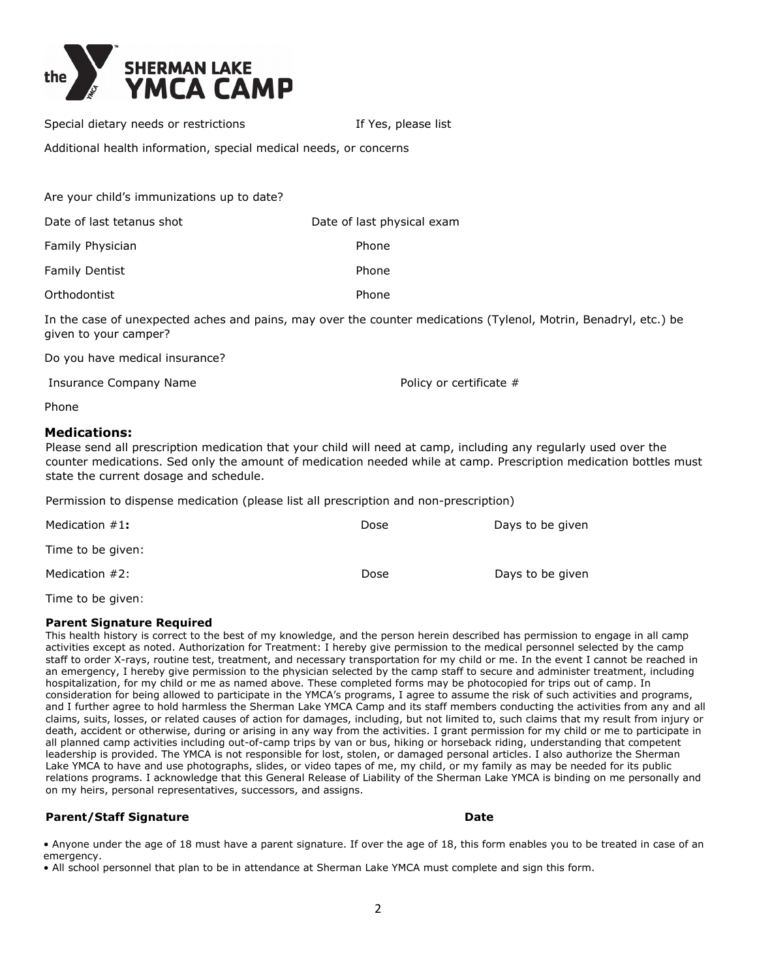

Special dietary needs or restrictions The Manus Research 16 Yes, please list

Additional health information, special medical needs, or concerns

| Are your child's immunizations up to date? |                            |
|--------------------------------------------|----------------------------|
| Date of last tetanus shot                  | Date of last physical exam |
| Family Physician                           | Phone                      |
| <b>Family Dentist</b>                      | Phone                      |
| Orthodontist                               | Phone                      |

In the case of unexpected aches and pains, may over the counter medications (Tylenol, Motrin, Benadryl, etc.) be given to your camper?

Do you have medical insurance?

Insurance Company Name

Policy or certificate #

Phone

## **Medications:**

Please send all prescription medication that your child will need at camp, including any regularly used over the counter medications. Sed only the amount of medication needed while at camp. Prescription medication bottles must state the current dosage and schedule.

Permission to dispense medication (please list all prescription and non-prescription)

| Medication #1:    | Dose | Days to be given |
|-------------------|------|------------------|
| Time to be given: |      |                  |
| Medication #2:    | Dose | Days to be given |

Time to be given:

### **Parent Signature Required**

This health history is correct to the best of my knowledge, and the person herein described has permission to engage in all camp activities except as noted. Authorization for Treatment: I hereby give permission to the medical personnel selected by the camp staff to order X-rays, routine test, treatment, and necessary transportation for my child or me. In the event I cannot be reached in an emergency, I hereby give permission to the physician selected by the camp staff to secure and administer treatment, including hospitalization, for my child or me as named above. These completed forms may be photocopied for trips out of camp. In consideration for being allowed to participate in the YMCA's programs, I agree to assume the risk of such activities and programs, and I further agree to hold harmless the Sherman Lake YMCA Camp and its staff members conducting the activities from any and all claims, suits, losses, or related causes of action for damages, including, but not limited to, such claims that my result from injury or death, accident or otherwise, during or arising in any way from the activities. I grant permission for my child or me to participate in all planned camp activities including out-of-camp trips by van or bus, hiking or horseback riding, understanding that competent leadership is provided. The YMCA is not responsible for lost, stolen, or damaged personal articles. I also authorize the Sherman Lake YMCA to have and use photographs, slides, or video tapes of me, my child, or my family as may be needed for its public relations programs. I acknowledge that this General Release of Liability of the Sherman Lake YMCA is binding on me personally and on my heirs, personal representatives, successors, and assigns.

## **Parent/Staff Signature Date** Date Date

• Anyone under the age of 18 must have a parent signature. If over the age of 18, this form enables you to be treated in case of an emergency.

• All school personnel that plan to be in attendance at Sherman Lake YMCA must complete and sign this form.